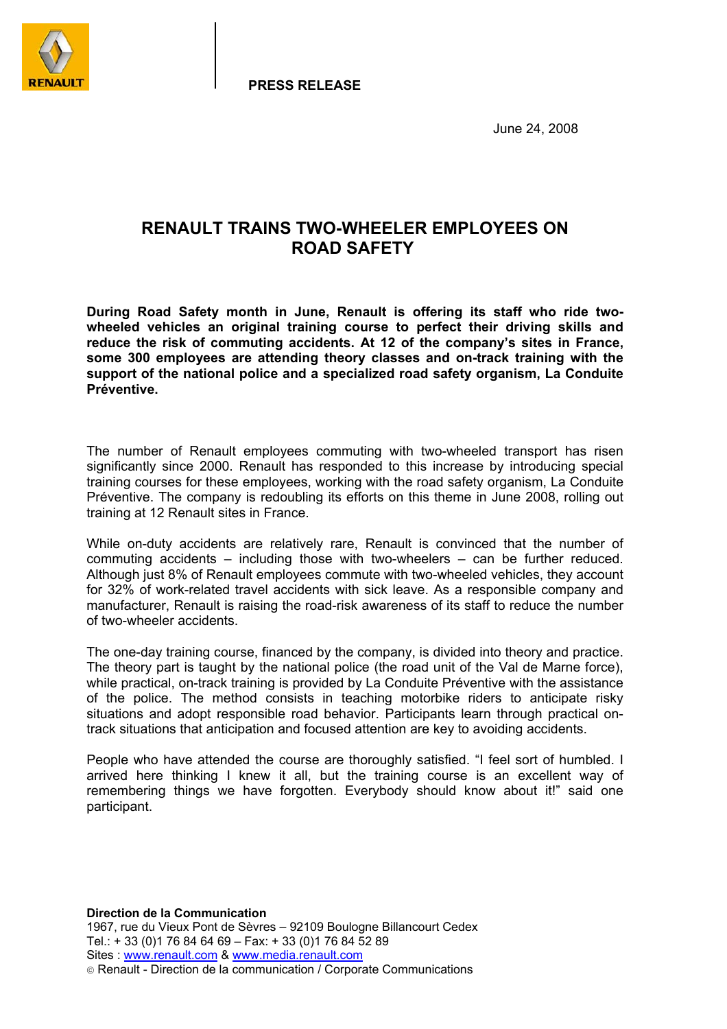

**PRESS RELEASE**

June 24, 2008

## **RENAULT TRAINS TWO-WHEELER EMPLOYEES ON ROAD SAFETY**

**During Road Safety month in June, Renault is offering its staff who ride twowheeled vehicles an original training course to perfect their driving skills and reduce the risk of commuting accidents. At 12 of the company's sites in France, some 300 employees are attending theory classes and on-track training with the support of the national police and a specialized road safety organism, La Conduite Préventive.** 

The number of Renault employees commuting with two-wheeled transport has risen significantly since 2000. Renault has responded to this increase by introducing special training courses for these employees, working with the road safety organism, La Conduite Préventive. The company is redoubling its efforts on this theme in June 2008, rolling out training at 12 Renault sites in France.

While on-duty accidents are relatively rare, Renault is convinced that the number of commuting accidents – including those with two-wheelers – can be further reduced. Although just 8% of Renault employees commute with two-wheeled vehicles, they account for 32% of work-related travel accidents with sick leave. As a responsible company and manufacturer, Renault is raising the road-risk awareness of its staff to reduce the number of two-wheeler accidents.

The one-day training course, financed by the company, is divided into theory and practice. The theory part is taught by the national police (the road unit of the Val de Marne force), while practical, on-track training is provided by La Conduite Préventive with the assistance of the police. The method consists in teaching motorbike riders to anticipate risky situations and adopt responsible road behavior. Participants learn through practical ontrack situations that anticipation and focused attention are key to avoiding accidents.

People who have attended the course are thoroughly satisfied. "I feel sort of humbled. I arrived here thinking I knew it all, but the training course is an excellent way of remembering things we have forgotten. Everybody should know about it!" said one participant.

**Direction de la Communication**  1967, rue du Vieux Pont de Sèvres – 92109 Boulogne Billancourt Cedex Tel.: + 33 (0)1 76 84 64 69 – Fax: + 33 (0)1 76 84 52 89 Sites : www.renault.com & www.media.renault.com Renault - Direction de la communication / Corporate Communications